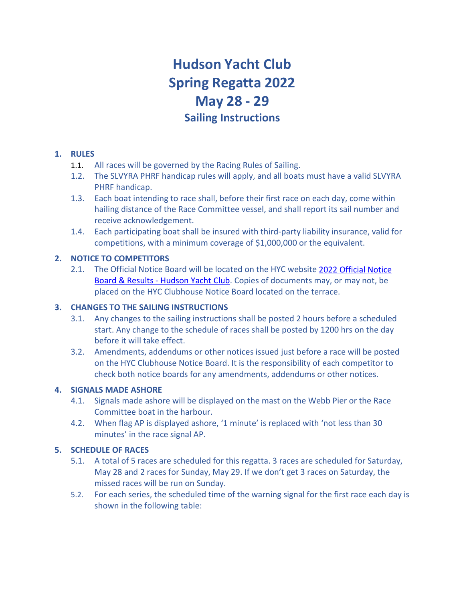# **Hudson Yacht Club Spring Regatta 2022 May 28 - 29 Sailing Instructions**

## **1. RULES**

- 1.1. All races will be governed by the Racing Rules of Sailing.
- 1.2. The SLVYRA PHRF handicap rules will apply, and all boats must have a valid SLVYRA PHRF handicap.
- 1.3. Each boat intending to race shall, before their first race on each day, come within hailing distance of the Race Committee vessel, and shall report its sail number and receive acknowledgement.
- 1.4. Each participating boat shall be insured with third-party liability insurance, valid for competitions, with a minimum coverage of \$1,000,000 or the equivalent.

# **2. NOTICE TO COMPETITORS**

2.1. The Official Notice Board will be located on the HYC website [2022 Official Notice](https://www.hudsonyachtclub.com/2021-board-results/)  [Board & Results - Hudson Yacht Club.](https://www.hudsonyachtclub.com/2021-board-results/) Copies of documents may, or may not, be placed on the HYC Clubhouse Notice Board located on the terrace.

## **3. CHANGES TO THE SAILING INSTRUCTIONS**

- 3.1. Any changes to the sailing instructions shall be posted 2 hours before a scheduled start. Any change to the schedule of races shall be posted by 1200 hrs on the day before it will take effect.
- 3.2. Amendments, addendums or other notices issued just before a race will be posted on the HYC Clubhouse Notice Board. It is the responsibility of each competitor to check both notice boards for any amendments, addendums or other notices.

## **4. SIGNALS MADE ASHORE**

- 4.1. Signals made ashore will be displayed on the mast on the Webb Pier or the Race Committee boat in the harbour.
- 4.2. When flag AP is displayed ashore, '1 minute' is replaced with 'not less than 30 minutes' in the race signal AP.

# **5. SCHEDULE OF RACES**

- 5.1. A total of 5 races are scheduled for this regatta. 3 races are scheduled for Saturday, May 28 and 2 races for Sunday, May 29. If we don't get 3 races on Saturday, the missed races will be run on Sunday.
- 5.2. For each series, the scheduled time of the warning signal for the first race each day is shown in the following table: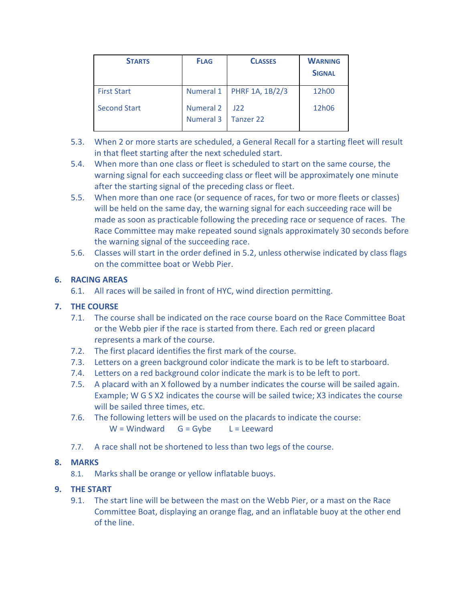| <b>STARTS</b>       | <b>FLAG</b>                          | <b>CLASSES</b>              | <b>WARNING</b><br><b>SIGNAL</b> |
|---------------------|--------------------------------------|-----------------------------|---------------------------------|
| <b>First Start</b>  |                                      | Numeral 1   PHRF 1A, 1B/2/3 | 12h00                           |
| <b>Second Start</b> | <b>Numeral 2</b><br><b>Numeral 3</b> | 122<br>Tanzer 22            | 12h06                           |

- 5.3. When 2 or more starts are scheduled, a General Recall for a starting fleet will result in that fleet starting after the next scheduled start.
- 5.4. When more than one class or fleet is scheduled to start on the same course, the warning signal for each succeeding class or fleet will be approximately one minute after the starting signal of the preceding class or fleet.
- 5.5. When more than one race (or sequence of races, for two or more fleets or classes) will be held on the same day, the warning signal for each succeeding race will be made as soon as practicable following the preceding race or sequence of races. The Race Committee may make repeated sound signals approximately 30 seconds before the warning signal of the succeeding race.
- 5.6. Classes will start in the order defined in 5.2, unless otherwise indicated by class flags on the committee boat or Webb Pier.

# **6. RACING AREAS**

6.1. All races will be sailed in front of HYC, wind direction permitting.

# **7. THE COURSE**

- 7.1. The course shall be indicated on the race course board on the Race Committee Boat or the Webb pier if the race is started from there. Each red or green placard represents a mark of the course.
- 7.2. The first placard identifies the first mark of the course.
- 7.3. Letters on a green background color indicate the mark is to be left to starboard.
- 7.4. Letters on a red background color indicate the mark is to be left to port.
- 7.5. A placard with an X followed by a number indicates the course will be sailed again. Example; W G S X2 indicates the course will be sailed twice; X3 indicates the course will be sailed three times, etc.
- 7.6. The following letters will be used on the placards to indicate the course:  $W =$  Windward  $G = G$ ybe  $L =$  Leeward
- 7.7. A race shall not be shortened to less than two legs of the course.

## **8. MARKS**

8.1. Marks shall be orange or yellow inflatable buoys.

# **9. THE START**

9.1. The start line will be between the mast on the Webb Pier, or a mast on the Race Committee Boat, displaying an orange flag, and an inflatable buoy at the other end of the line.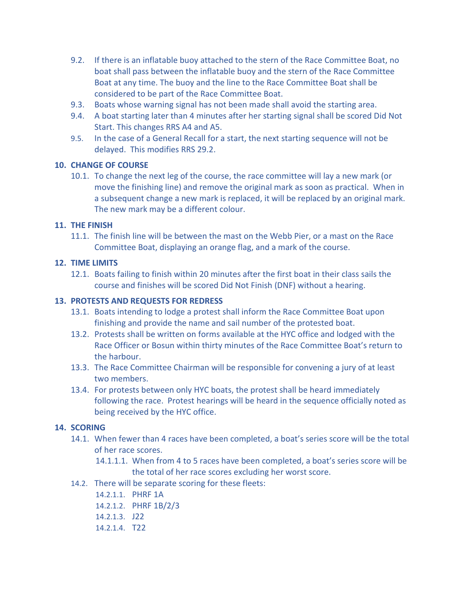- 9.2. If there is an inflatable buoy attached to the stern of the Race Committee Boat, no boat shall pass between the inflatable buoy and the stern of the Race Committee Boat at any time. The buoy and the line to the Race Committee Boat shall be considered to be part of the Race Committee Boat.
- 9.3. Boats whose warning signal has not been made shall avoid the starting area.
- 9.4. A boat starting later than 4 minutes after her starting signal shall be scored Did Not Start. This changes RRS A4 and A5.
- 9.5. In the case of a General Recall for a start, the next starting sequence will not be delayed. This modifies RRS 29.2.

## **10. CHANGE OF COURSE**

10.1. To change the next leg of the course, the race committee will lay a new mark (or move the finishing line) and remove the original mark as soon as practical. When in a subsequent change a new mark is replaced, it will be replaced by an original mark. The new mark may be a different colour.

## **11. THE FINISH**

11.1. The finish line will be between the mast on the Webb Pier, or a mast on the Race Committee Boat, displaying an orange flag, and a mark of the course.

## **12. TIME LIMITS**

12.1. Boats failing to finish within 20 minutes after the first boat in their class sails the course and finishes will be scored Did Not Finish (DNF) without a hearing.

## **13. PROTESTS AND REQUESTS FOR REDRESS**

- 13.1. Boats intending to lodge a protest shall inform the Race Committee Boat upon finishing and provide the name and sail number of the protested boat.
- 13.2. Protests shall be written on forms available at the HYC office and lodged with the Race Officer or Bosun within thirty minutes of the Race Committee Boat's return to the harbour.
- 13.3. The Race Committee Chairman will be responsible for convening a jury of at least two members.
- 13.4. For protests between only HYC boats, the protest shall be heard immediately following the race. Protest hearings will be heard in the sequence officially noted as being received by the HYC office.

## **14. SCORING**

- 14.1. When fewer than 4 races have been completed, a boat's series score will be the total of her race scores.
	- 14.1.1.1. When from 4 to 5 races have been completed, a boat's series score will be the total of her race scores excluding her worst score.
- 14.2. There will be separate scoring for these fleets:
	- 14.2.1.1. PHRF 1A
	- 14.2.1.2. PHRF 1B/2/3
	- 14.2.1.3. J22
	- 14.2.1.4. T22